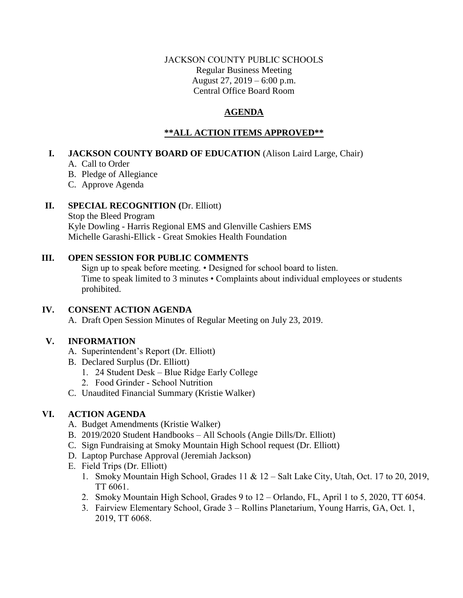# JACKSON COUNTY PUBLIC SCHOOLS Regular Business Meeting August 27, 2019 – 6:00 p.m. Central Office Board Room

# **AGENDA**

# **\*\*ALL ACTION ITEMS APPROVED\*\***

# **I. JACKSON COUNTY BOARD OF EDUCATION** (Alison Laird Large, Chair)

- A. Call to Order
- B. Pledge of Allegiance
- C. Approve Agenda

# **II. SPECIAL RECOGNITION (**Dr. Elliott)

Stop the Bleed Program Kyle Dowling - Harris Regional EMS and Glenville Cashiers EMS Michelle Garashi-Ellick - Great Smokies Health Foundation

# **III. OPEN SESSION FOR PUBLIC COMMENTS**

Sign up to speak before meeting. • Designed for school board to listen. Time to speak limited to 3 minutes • Complaints about individual employees or students prohibited.

# **IV. CONSENT ACTION AGENDA**

A. Draft Open Session Minutes of Regular Meeting on July 23, 2019.

# **V. INFORMATION**

- A. Superintendent's Report (Dr. Elliott)
- B. Declared Surplus (Dr. Elliott)
	- 1. 24 Student Desk Blue Ridge Early College
	- 2. Food Grinder School Nutrition
- C. Unaudited Financial Summary (Kristie Walker)

# **VI. ACTION AGENDA**

- A. Budget Amendments (Kristie Walker)
- B. 2019/2020 Student Handbooks All Schools (Angie Dills/Dr. Elliott)
- C. Sign Fundraising at Smoky Mountain High School request (Dr. Elliott)
- D. Laptop Purchase Approval (Jeremiah Jackson)
- E. Field Trips (Dr. Elliott)
	- 1. Smoky Mountain High School, Grades 11 & 12 Salt Lake City, Utah, Oct. 17 to 20, 2019, TT 6061.
	- 2. Smoky Mountain High School, Grades 9 to 12 Orlando, FL, April 1 to 5, 2020, TT 6054.
	- 3. Fairview Elementary School, Grade 3 Rollins Planetarium, Young Harris, GA, Oct. 1, 2019, TT 6068.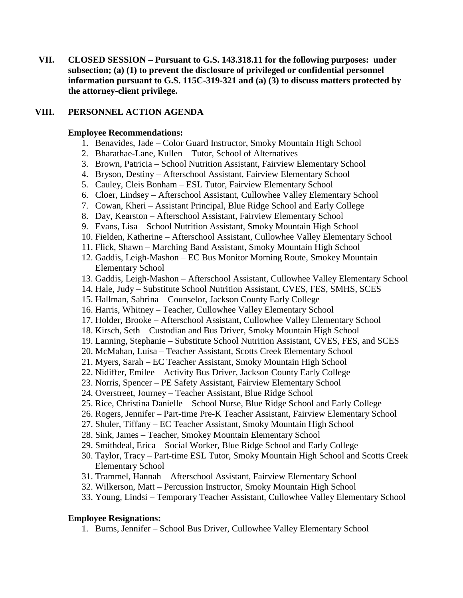**VII. CLOSED SESSION – Pursuant to G.S. 143.318.11 for the following purposes: under subsection; (a) (1) to prevent the disclosure of privileged or confidential personnel information pursuant to G.S. 115C-319-321 and (a) (3) to discuss matters protected by the attorney-client privilege.**

# **VIII. PERSONNEL ACTION AGENDA**

### **Employee Recommendations:**

- 1. Benavides, Jade Color Guard Instructor, Smoky Mountain High School
- 2. Bharathae-Lane, Kullen Tutor, School of Alternatives
- 3. Brown, Patricia School Nutrition Assistant, Fairview Elementary School
- 4. Bryson, Destiny Afterschool Assistant, Fairview Elementary School
- 5. Cauley, Cleis Bonham ESL Tutor, Fairview Elementary School
- 6. Cloer, Lindsey Afterschool Assistant, Cullowhee Valley Elementary School
- 7. Cowan, Kheri Assistant Principal, Blue Ridge School and Early College
- 8. Day, Kearston Afterschool Assistant, Fairview Elementary School
- 9. Evans, Lisa School Nutrition Assistant, Smoky Mountain High School
- 10. Fielden, Katherine Afterschool Assistant, Cullowhee Valley Elementary School
- 11. Flick, Shawn Marching Band Assistant, Smoky Mountain High School
- 12. Gaddis, Leigh-Mashon EC Bus Monitor Morning Route, Smokey Mountain Elementary School
- 13. Gaddis, Leigh-Mashon Afterschool Assistant, Cullowhee Valley Elementary School
- 14. Hale, Judy Substitute School Nutrition Assistant, CVES, FES, SMHS, SCES
- 15. Hallman, Sabrina Counselor, Jackson County Early College
- 16. Harris, Whitney Teacher, Cullowhee Valley Elementary School
- 17. Holder, Brooke Afterschool Assistant, Cullowhee Valley Elementary School
- 18. Kirsch, Seth Custodian and Bus Driver, Smoky Mountain High School
- 19. Lanning, Stephanie Substitute School Nutrition Assistant, CVES, FES, and SCES
- 20. McMahan, Luisa Teacher Assistant, Scotts Creek Elementary School
- 21. Myers, Sarah EC Teacher Assistant, Smoky Mountain High School
- 22. Nidiffer, Emilee Activity Bus Driver, Jackson County Early College
- 23. Norris, Spencer PE Safety Assistant, Fairview Elementary School
- 24. Overstreet, Journey Teacher Assistant, Blue Ridge School
- 25. Rice, Christina Danielle School Nurse, Blue Ridge School and Early College
- 26. Rogers, Jennifer Part-time Pre-K Teacher Assistant, Fairview Elementary School
- 27. Shuler, Tiffany EC Teacher Assistant, Smoky Mountain High School
- 28. Sink, James Teacher, Smokey Mountain Elementary School
- 29. Smithdeal, Erica Social Worker, Blue Ridge School and Early College
- 30. Taylor, Tracy Part-time ESL Tutor, Smoky Mountain High School and Scotts Creek Elementary School
- 31. Trammel, Hannah Afterschool Assistant, Fairview Elementary School
- 32. Wilkerson, Matt Percussion Instructor, Smoky Mountain High School
- 33. Young, Lindsi Temporary Teacher Assistant, Cullowhee Valley Elementary School

# **Employee Resignations:**

1. Burns, Jennifer – School Bus Driver, Cullowhee Valley Elementary School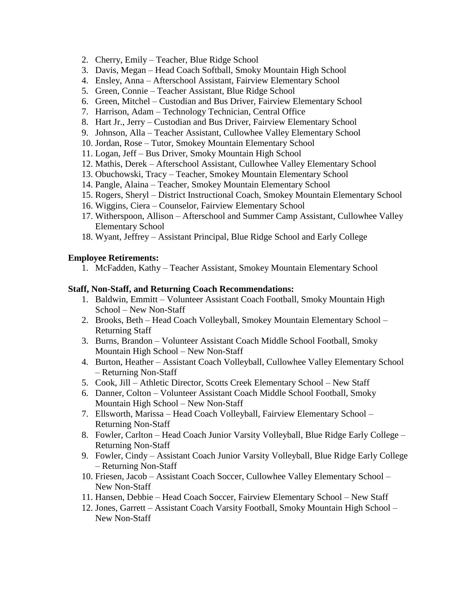- 2. Cherry, Emily Teacher, Blue Ridge School
- 3. Davis, Megan Head Coach Softball, Smoky Mountain High School
- 4. Ensley, Anna Afterschool Assistant, Fairview Elementary School
- 5. Green, Connie Teacher Assistant, Blue Ridge School
- 6. Green, Mitchel Custodian and Bus Driver, Fairview Elementary School
- 7. Harrison, Adam Technology Technician, Central Office
- 8. Hart Jr., Jerry Custodian and Bus Driver, Fairview Elementary School
- 9. Johnson, Alla Teacher Assistant, Cullowhee Valley Elementary School
- 10. Jordan, Rose Tutor, Smokey Mountain Elementary School
- 11. Logan, Jeff Bus Driver, Smoky Mountain High School
- 12. Mathis, Derek Afterschool Assistant, Cullowhee Valley Elementary School
- 13. Obuchowski, Tracy Teacher, Smokey Mountain Elementary School
- 14. Pangle, Alaina Teacher, Smokey Mountain Elementary School
- 15. Rogers, Sheryl District Instructional Coach, Smokey Mountain Elementary School
- 16. Wiggins, Ciera Counselor, Fairview Elementary School
- 17. Witherspoon, Allison Afterschool and Summer Camp Assistant, Cullowhee Valley Elementary School
- 18. Wyant, Jeffrey Assistant Principal, Blue Ridge School and Early College

### **Employee Retirements:**

1. McFadden, Kathy – Teacher Assistant, Smokey Mountain Elementary School

### **Staff, Non-Staff, and Returning Coach Recommendations:**

- 1. Baldwin, Emmitt Volunteer Assistant Coach Football, Smoky Mountain High School – New Non-Staff
- 2. Brooks, Beth Head Coach Volleyball, Smokey Mountain Elementary School Returning Staff
- 3. Burns, Brandon Volunteer Assistant Coach Middle School Football, Smoky Mountain High School – New Non-Staff
- 4. Burton, Heather Assistant Coach Volleyball, Cullowhee Valley Elementary School – Returning Non-Staff
- 5. Cook, Jill Athletic Director, Scotts Creek Elementary School New Staff
- 6. Danner, Colton Volunteer Assistant Coach Middle School Football, Smoky Mountain High School – New Non-Staff
- 7. Ellsworth, Marissa Head Coach Volleyball, Fairview Elementary School Returning Non-Staff
- 8. Fowler, Carlton Head Coach Junior Varsity Volleyball, Blue Ridge Early College Returning Non-Staff
- 9. Fowler, Cindy Assistant Coach Junior Varsity Volleyball, Blue Ridge Early College – Returning Non-Staff
- 10. Friesen, Jacob Assistant Coach Soccer, Cullowhee Valley Elementary School New Non-Staff
- 11. Hansen, Debbie Head Coach Soccer, Fairview Elementary School New Staff
- 12. Jones, Garrett Assistant Coach Varsity Football, Smoky Mountain High School New Non-Staff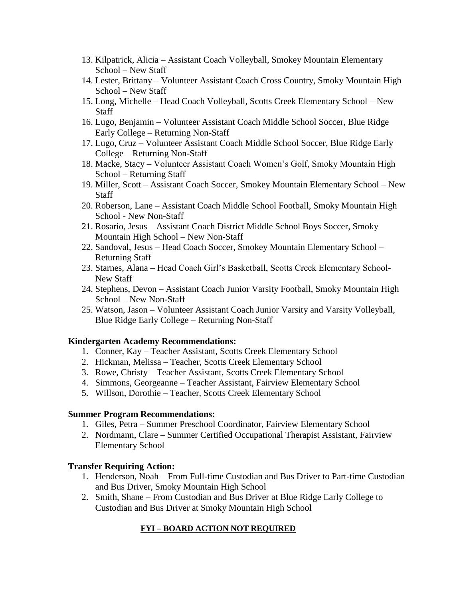- 13. Kilpatrick, Alicia Assistant Coach Volleyball, Smokey Mountain Elementary School – New Staff
- 14. Lester, Brittany Volunteer Assistant Coach Cross Country, Smoky Mountain High School – New Staff
- 15. Long, Michelle Head Coach Volleyball, Scotts Creek Elementary School New Staff
- 16. Lugo, Benjamin Volunteer Assistant Coach Middle School Soccer, Blue Ridge Early College – Returning Non-Staff
- 17. Lugo, Cruz Volunteer Assistant Coach Middle School Soccer, Blue Ridge Early College – Returning Non-Staff
- 18. Macke, Stacy Volunteer Assistant Coach Women's Golf, Smoky Mountain High School – Returning Staff
- 19. Miller, Scott Assistant Coach Soccer, Smokey Mountain Elementary School New **Staff**
- 20. Roberson, Lane Assistant Coach Middle School Football, Smoky Mountain High School - New Non-Staff
- 21. Rosario, Jesus Assistant Coach District Middle School Boys Soccer, Smoky Mountain High School – New Non-Staff
- 22. Sandoval, Jesus Head Coach Soccer, Smokey Mountain Elementary School Returning Staff
- 23. Starnes, Alana Head Coach Girl's Basketball, Scotts Creek Elementary School-New Staff
- 24. Stephens, Devon Assistant Coach Junior Varsity Football, Smoky Mountain High School – New Non-Staff
- 25. Watson, Jason Volunteer Assistant Coach Junior Varsity and Varsity Volleyball, Blue Ridge Early College – Returning Non-Staff

#### **Kindergarten Academy Recommendations:**

- 1. Conner, Kay Teacher Assistant, Scotts Creek Elementary School
- 2. Hickman, Melissa Teacher, Scotts Creek Elementary School
- 3. Rowe, Christy Teacher Assistant, Scotts Creek Elementary School
- 4. Simmons, Georgeanne Teacher Assistant, Fairview Elementary School
- 5. Willson, Dorothie Teacher, Scotts Creek Elementary School

#### **Summer Program Recommendations:**

- 1. Giles, Petra Summer Preschool Coordinator, Fairview Elementary School
- 2. Nordmann, Clare Summer Certified Occupational Therapist Assistant, Fairview Elementary School

### **Transfer Requiring Action:**

- 1. Henderson, Noah From Full-time Custodian and Bus Driver to Part-time Custodian and Bus Driver, Smoky Mountain High School
- 2. Smith, Shane From Custodian and Bus Driver at Blue Ridge Early College to Custodian and Bus Driver at Smoky Mountain High School

#### **FYI – BOARD ACTION NOT REQUIRED**